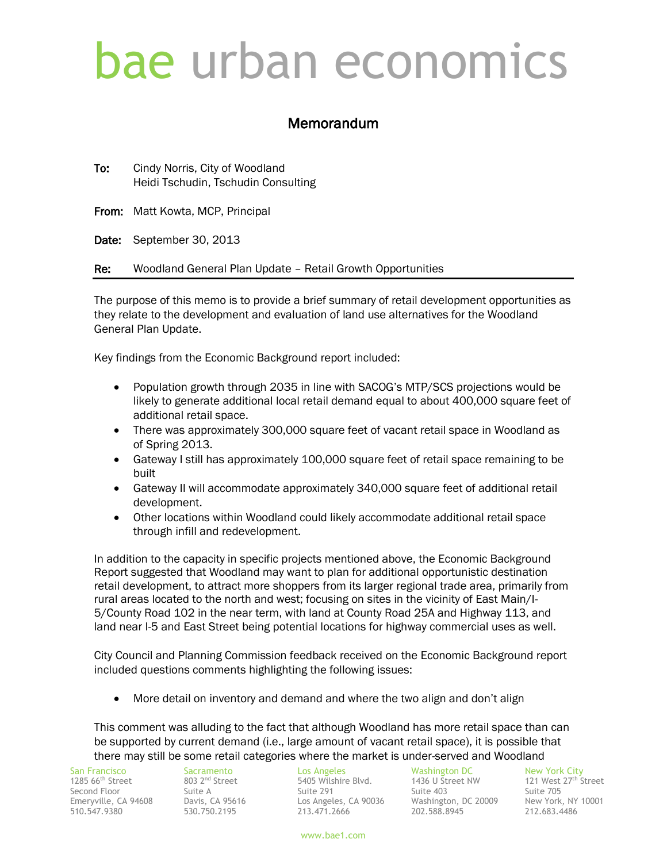## bae urban economics

## Memorandum

To: Cindy Norris, City of Woodland Heidi Tschudin, Tschudin Consulting

From: Matt Kowta, MCP, Principal

Date: September 30, 2013

Re: Woodland General Plan Update – Retail Growth Opportunities

The purpose of this memo is to provide a brief summary of retail development opportunities as they relate to the development and evaluation of land use alternatives for the Woodland General Plan Update.

Key findings from the Economic Background report included:

- Population growth through 2035 in line with SACOG's MTP/SCS projections would be likely to generate additional local retail demand equal to about 400,000 square feet of additional retail space.
- There was approximately 300,000 square feet of vacant retail space in Woodland as of Spring 2013.
- Gateway I still has approximately 100,000 square feet of retail space remaining to be built
- Gateway II will accommodate approximately 340,000 square feet of additional retail development.
- Other locations within Woodland could likely accommodate additional retail space through infill and redevelopment.

In addition to the capacity in specific projects mentioned above, the Economic Background Report suggested that Woodland may want to plan for additional opportunistic destination retail development, to attract more shoppers from its larger regional trade area, primarily from rural areas located to the north and west; focusing on sites in the vicinity of East Main/I-5/County Road 102 in the near term, with land at County Road 25A and Highway 113, and land near I-5 and East Street being potential locations for highway commercial uses as well.

City Council and Planning Commission feedback received on the Economic Background report included questions comments highlighting the following issues:

• More detail on inventory and demand and where the two align and don't align

This comment was alluding to the fact that although Woodland has more retail space than can be supported by current demand (i.e., large amount of vacant retail space), it is possible that there may still be some retail categories where the market is under-served and Woodland

1285  $66^{\text{th}}$  Street

510.547.9380 530.750.2195 213.471.2666 202.588.8945 212.683.4486

San Francisco Sacramento Los Angeles Washington DC New York City<br>1285 66<sup>th</sup> Street 27<sup>th</sup> Street 803 2<sup>nd</sup> Street Street 6 5405 Wilshire Blvd. 1436 U Street NW 121 West 27<sup>th</sup> St 5405 Wilshire Blvd. 1436 U Street NW 121 West 27<sup>th</sup> Street Second Floor Suite A Suite A Suite 291 Suite 403 Suite 705<br>Suite 705 Suite 705 Suite 705 Suite 705 Suite 403 Suite 403 Suite 705 Suite 705 Suite 706 Suite 706 Suite 7000 Los Angeles, CA 90036 Washington, DC 20009

www.bae1.com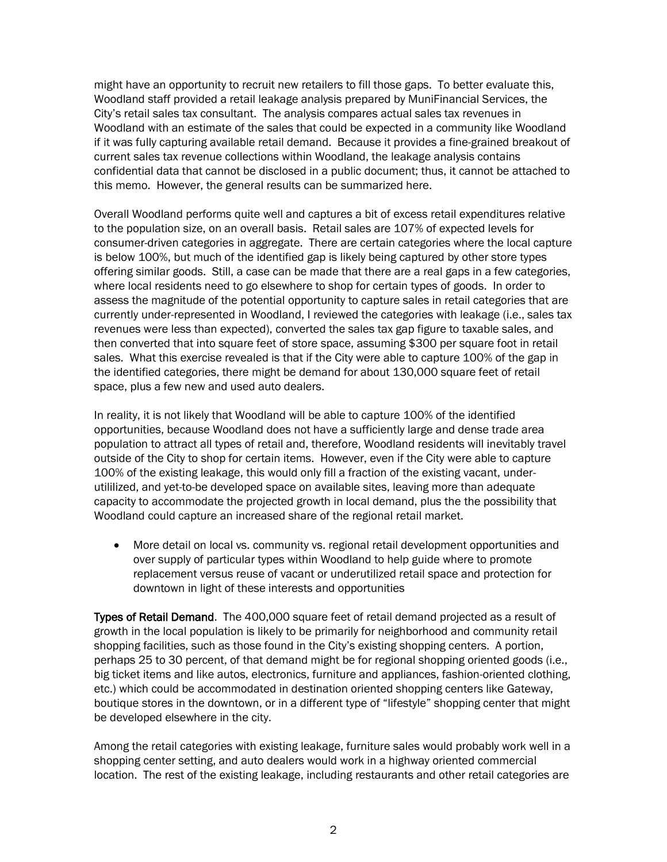might have an opportunity to recruit new retailers to fill those gaps. To better evaluate this, Woodland staff provided a retail leakage analysis prepared by MuniFinancial Services, the City's retail sales tax consultant. The analysis compares actual sales tax revenues in Woodland with an estimate of the sales that could be expected in a community like Woodland if it was fully capturing available retail demand. Because it provides a fine-grained breakout of current sales tax revenue collections within Woodland, the leakage analysis contains confidential data that cannot be disclosed in a public document; thus, it cannot be attached to this memo. However, the general results can be summarized here.

Overall Woodland performs quite well and captures a bit of excess retail expenditures relative to the population size, on an overall basis. Retail sales are 107% of expected levels for consumer-driven categories in aggregate. There are certain categories where the local capture is below 100%, but much of the identified gap is likely being captured by other store types offering similar goods. Still, a case can be made that there are a real gaps in a few categories, where local residents need to go elsewhere to shop for certain types of goods. In order to assess the magnitude of the potential opportunity to capture sales in retail categories that are currently under-represented in Woodland, I reviewed the categories with leakage (i.e., sales tax revenues were less than expected), converted the sales tax gap figure to taxable sales, and then converted that into square feet of store space, assuming \$300 per square foot in retail sales. What this exercise revealed is that if the City were able to capture 100% of the gap in the identified categories, there might be demand for about 130,000 square feet of retail space, plus a few new and used auto dealers.

In reality, it is not likely that Woodland will be able to capture 100% of the identified opportunities, because Woodland does not have a sufficiently large and dense trade area population to attract all types of retail and, therefore, Woodland residents will inevitably travel outside of the City to shop for certain items. However, even if the City were able to capture 100% of the existing leakage, this would only fill a fraction of the existing vacant, underutililized, and yet-to-be developed space on available sites, leaving more than adequate capacity to accommodate the projected growth in local demand, plus the the possibility that Woodland could capture an increased share of the regional retail market.

 More detail on local vs. community vs. regional retail development opportunities and over supply of particular types within Woodland to help guide where to promote replacement versus reuse of vacant or underutilized retail space and protection for downtown in light of these interests and opportunities

Types of Retail Demand. The 400,000 square feet of retail demand projected as a result of growth in the local population is likely to be primarily for neighborhood and community retail shopping facilities, such as those found in the City's existing shopping centers. A portion, perhaps 25 to 30 percent, of that demand might be for regional shopping oriented goods (i.e., big ticket items and like autos, electronics, furniture and appliances, fashion-oriented clothing, etc.) which could be accommodated in destination oriented shopping centers like Gateway, boutique stores in the downtown, or in a different type of "lifestyle" shopping center that might be developed elsewhere in the city.

Among the retail categories with existing leakage, furniture sales would probably work well in a shopping center setting, and auto dealers would work in a highway oriented commercial location. The rest of the existing leakage, including restaurants and other retail categories are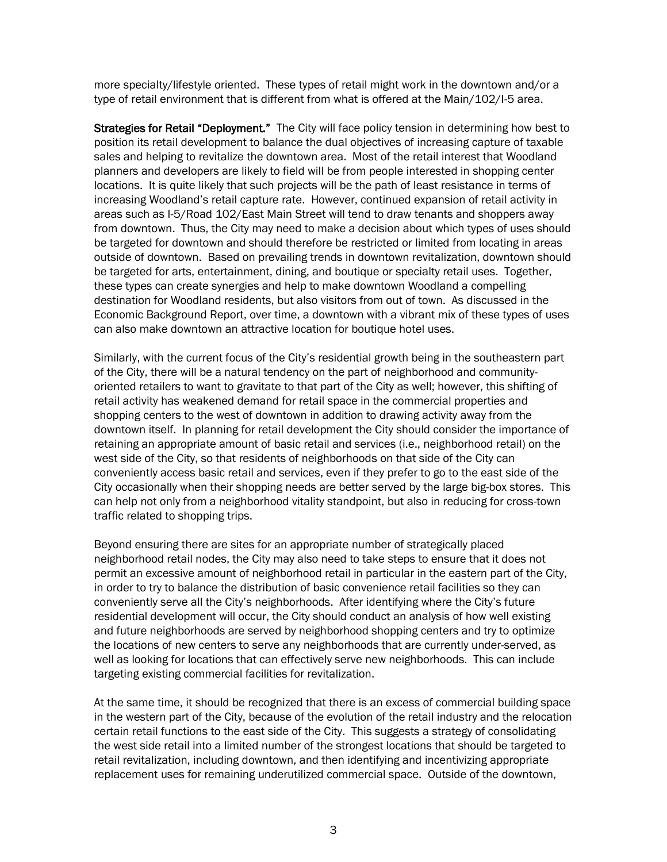more specialty/lifestyle oriented. These types of retail might work in the downtown and/or a type of retail environment that is different from what is offered at the Main/102/I-5 area.

Strategies for Retail "Deployment." The City will face policy tension in determining how best to position its retail development to balance the dual objectives of increasing capture of taxable sales and helping to revitalize the downtown area. Most of the retail interest that Woodland planners and developers are likely to field will be from people interested in shopping center locations. It is quite likely that such projects will be the path of least resistance in terms of increasing Woodland's retail capture rate. However, continued expansion of retail activity in areas such as I-5/Road 102/East Main Street will tend to draw tenants and shoppers away from downtown. Thus, the City may need to make a decision about which types of uses should be targeted for downtown and should therefore be restricted or limited from locating in areas outside of downtown. Based on prevailing trends in downtown revitalization, downtown should be targeted for arts, entertainment, dining, and boutique or specialty retail uses. Together, these types can create synergies and help to make downtown Woodland a compelling destination for Woodland residents, but also visitors from out of town. As discussed in the Economic Background Report, over time, a downtown with a vibrant mix of these types of uses can also make downtown an attractive location for boutique hotel uses.

Similarly, with the current focus of the City's residential growth being in the southeastern part of the City, there will be a natural tendency on the part of neighborhood and communityoriented retailers to want to gravitate to that part of the City as well; however, this shifting of retail activity has weakened demand for retail space in the commercial properties and shopping centers to the west of downtown in addition to drawing activity away from the downtown itself. In planning for retail development the City should consider the importance of retaining an appropriate amount of basic retail and services (i.e., neighborhood retail) on the west side of the City, so that residents of neighborhoods on that side of the City can conveniently access basic retail and services, even if they prefer to go to the east side of the City occasionally when their shopping needs are better served by the large big-box stores. This can help not only from a neighborhood vitality standpoint, but also in reducing for cross-town traffic related to shopping trips.

Beyond ensuring there are sites for an appropriate number of strategically placed neighborhood retail nodes, the City may also need to take steps to ensure that it does not permit an excessive amount of neighborhood retail in particular in the eastern part of the City, in order to try to balance the distribution of basic convenience retail facilities so they can conveniently serve all the City's neighborhoods. After identifying where the City's future residential development will occur, the City should conduct an analysis of how well existing and future neighborhoods are served by neighborhood shopping centers and try to optimize the locations of new centers to serve any neighborhoods that are currently under-served, as well as looking for locations that can effectively serve new neighborhoods. This can include targeting existing commercial facilities for revitalization.

At the same time, it should be recognized that there is an excess of commercial building space in the western part of the City, because of the evolution of the retail industry and the relocation certain retail functions to the east side of the City. This suggests a strategy of consolidating the west side retail into a limited number of the strongest locations that should be targeted to retail revitalization, including downtown, and then identifying and incentivizing appropriate replacement uses for remaining underutilized commercial space. Outside of the downtown,